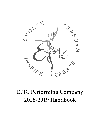

# EPIC Performing Company 2018-2019 Handbook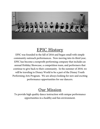

# EPIC History

EPIC was founded in the fall of 2016 and began small with simple community outreach performances. Now moving into its third year, EPIC has become a nonprofit performing company that includes an annual Holiday Showcase, a competition team, and performers that continue to give back to their community. In the summer of 2018, we will be traveling to Disney World to be a part of the Disney Youth Performing Arts Program. We are always looking for new and exciting performance opportunities for our dancers.

### Our Mission

To provide high quality dance instruction with unique performance opportunities in a healthy and fun environment.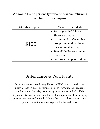### We would like to personally welcome new and returning members to our company!

| Membership Fee | What Is Included?                                                                                                                                                                                       |  |
|----------------|---------------------------------------------------------------------------------------------------------------------------------------------------------------------------------------------------------|--|
| \$125          | • 1/8-page ad in Holiday<br>Showcase program<br>• costuming for Nutcracker<br>group competition pieces,<br>theater rental, & props<br>10% off En Pointe summer<br>programs<br>performance opportunities |  |

### Attendance & Punctuality

Performers must attend every Thursday EPIC rehearsal and arrive, unless already in class, 15 minutes prior to warm up. Attendance is mandatory the Thursday prior to any performance and all half day September Saturdays. We cannot stress the importance of warming up prior to any rehearsal enough. We ask that you make us aware of any planned vacation as soon as possible after auditions.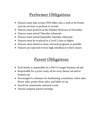# Performer Obligations

- Dancers must take at least ONE ballet class a week at En Pointe (you do not have to perform in recital)
- Dancers must perform in the Holiday Showcase in December
- Dancers must attend Thursday rehearsals
- Dancers must attend September Saturday rehearsals
- Dancers must be in placed in a Level 2 class or higher
- Dancers must attend as many outreach programs as possible
- Dancers are expected to have high attendance in their classes

### Parent Obligations

- Each family is responsible for a \$50 (1/4-page) business ad sale
- Responsible for a print ready ad for every dancer ad and/or business ad
- Encouraged to volunteer for fundraising committees, ticket sales, flower sales, pointe shoes sales, and lobby set up
- Search for community outreach events
- Attend company parent meetings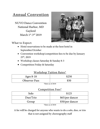# Annual Convention

NUVO Dance Convention National Harbor, MD Gaylord March 1st-3rd 2019



What to Expect:

- Hotel reservations to be made at the host hotel in September/October
- Convention workshop/competition fees to be due by January 25th, 2019
- Workshop classes Saturday & Sunday 8-3
- Competition Friday & Saturday

#### Workshop Tuition Rates\*

| Ages $8-18$          | \$250 |
|----------------------|-------|
| <b>Observer Pass</b> | \$50  |

\*Rates as of 2018

#### Competition Fees\*

| Solo                                    | \$125           |  |  |
|-----------------------------------------|-----------------|--|--|
| Duo/Trio                                | \$65/per dancer |  |  |
| Group                                   | \$50/per dancer |  |  |
| $\sim$ $ -$<br>$\overline{\phantom{a}}$ |                 |  |  |

\*Rates as of 2018

A fee will be charged for anyone who wants to do a solo, duo, or trio that is not assigned by choreography staff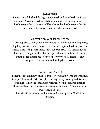#### Rehearsals:

Rehearsals will be held throughout the week and most likely on Friday afternoons/evenings - rehearsals time and days will be determined by the choreographer. Dancers will be selected by the choreographer for each dance. Rehearsals may be added when needed.

#### Convention Workshop Attire:

Workshop classes will generally include: jazz, tap, ballet, contemporary, hip hop, ballroom, and improv. Dancers are expected to be dressed in dance attire with proper dance shoes for each class. If a dancer doesn't have a certain type of shoe, ballet or jazz shoes are to be used. Form fitting dance clothes are to be worn for every class. Sneakers and baggier clothes are allowed for hip hop classes.

#### Competition/Awards

Schedules are unknown until 10 days – two weeks prior to the weekend. Competition usually will take place during Friday evening and Saturday evenings. When the schedule is received, it will be sent via email to those involved and dancers are expected to be there 1.5 hours prior to their scheduled time.

Awards will be given to each dance and are property of En Pointe Studio.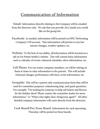## Communication of Information

Email: Information directly relating to the Company will be emailed from the directors only. We ask that you provide ALL emails you would like on the group list.

Facebook: As needed, information will be posted on EPIC Performing Company's FB account. This information will pertain to any last minute changes, weather updates, etc.

Website: To the best of our ability, all information will be located on a tab on En Pointe Studio's website. This will contain basic information such as calendar of events, rehearsal schedules, show information, etc.

Cell Phone: For our senior company members, we will be relying on them at times to relay information to the parents. This will include rehearsal changes, performance call times, event information, etc.

GroupMe: This will be a parent only communication form that will be used for committee purposes, volunteering help, and quick questions. For example: "I'm looking for someone to help sell tickets and flowers for the holiday show! Please contact the committee leader for more information," or "What color tights does Swing wear again?" All other detailed company information will come directly from the directors.

Cork Board/Dry Erase Board: Information for each upcoming Thursday will be posted on these boards.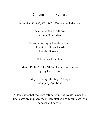### Calendar of Events

September 8<sup>th</sup>, 15<sup>th</sup>, 22<sup>nd</sup>, 29<sup>th</sup> – Nutcracker Rehearsals

October – Fifer's Fall Fest Annual Fundraiser

December – Happy Holidays Dover! Downtown Dover Parade Holiday Showcase

February – EPIC Fest

March 1st-3rd 2019 – NUVO Dance Convention Spring Convention

> May – History, Heritage, & Hops Company Auditions

\*Please note that these are estimate time of events. Once the final dates are in place, the artistic staff will communicate with dancers and parents.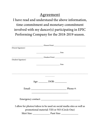### Agreement

I have read and understand the above information, time commitment and monetary commitment involved with my dancer(s) participating in EPIC Performing Company for the 2018-2019 season.

| (Parent Signature)  |                        |                                                                                                                      |  |                                                                       |
|---------------------|------------------------|----------------------------------------------------------------------------------------------------------------------|--|-----------------------------------------------------------------------|
|                     |                        | Date                                                                                                                 |  |                                                                       |
|                     |                        |                                                                                                                      |  |                                                                       |
| (Student Signature) |                        |                                                                                                                      |  |                                                                       |
|                     |                        | Date                                                                                                                 |  |                                                                       |
|                     |                        |                                                                                                                      |  |                                                                       |
|                     |                        |                                                                                                                      |  |                                                                       |
|                     |                        |                                                                                                                      |  |                                                                       |
|                     |                        |                                                                                                                      |  |                                                                       |
|                     |                        | $Age: \_\_\_\_DOB: \_\_\_\_\_\_\_$                                                                                   |  |                                                                       |
|                     |                        |                                                                                                                      |  |                                                                       |
|                     |                        |                                                                                                                      |  |                                                                       |
|                     |                        | <u> 1989 - Johann Stein, mars an deutscher Stein und der Stein und der Stein und der Stein und der Stein und der</u> |  |                                                                       |
|                     |                        |                                                                                                                      |  |                                                                       |
|                     |                        |                                                                                                                      |  |                                                                       |
|                     |                        |                                                                                                                      |  | I allow for photos/videos to be used on social media sites as well as |
|                     |                        | promotional material: YES or NO (Circle One)                                                                         |  |                                                                       |
|                     |                        |                                                                                                                      |  |                                                                       |
|                     | Shirt Size: Pant Size: |                                                                                                                      |  |                                                                       |